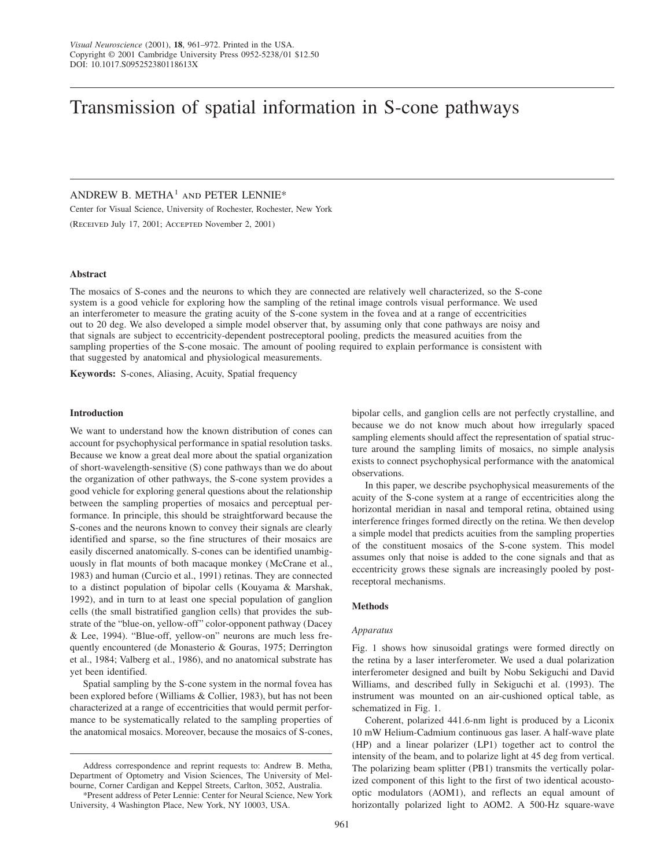# Transmission of spatial information in S-cone pathways

# ANDREW B. METHA<sup>1</sup> AND PETER LENNIE\*

Center for Visual Science, University of Rochester, Rochester, New York (Received July 17, 2001; Accepted November 2, 2001)

#### **Abstract**

The mosaics of S-cones and the neurons to which they are connected are relatively well characterized, so the S-cone system is a good vehicle for exploring how the sampling of the retinal image controls visual performance. We used an interferometer to measure the grating acuity of the S-cone system in the fovea and at a range of eccentricities out to 20 deg. We also developed a simple model observer that, by assuming only that cone pathways are noisy and that signals are subject to eccentricity-dependent postreceptoral pooling, predicts the measured acuities from the sampling properties of the S-cone mosaic. The amount of pooling required to explain performance is consistent with that suggested by anatomical and physiological measurements.

**Keywords:** S-cones, Aliasing, Acuity, Spatial frequency

#### **Introduction**

We want to understand how the known distribution of cones can account for psychophysical performance in spatial resolution tasks. Because we know a great deal more about the spatial organization of short-wavelength-sensitive (S) cone pathways than we do about the organization of other pathways, the S-cone system provides a good vehicle for exploring general questions about the relationship between the sampling properties of mosaics and perceptual performance. In principle, this should be straightforward because the S-cones and the neurons known to convey their signals are clearly identified and sparse, so the fine structures of their mosaics are easily discerned anatomically. S-cones can be identified unambiguously in flat mounts of both macaque monkey (McCrane et al., 1983) and human (Curcio et al., 1991) retinas. They are connected to a distinct population of bipolar cells (Kouyama & Marshak, 1992), and in turn to at least one special population of ganglion cells (the small bistratified ganglion cells) that provides the substrate of the "blue-on, yellow-off" color-opponent pathway (Dacey & Lee, 1994). "Blue-off, yellow-on" neurons are much less frequently encountered (de Monasterio & Gouras, 1975; Derrington et al., 1984; Valberg et al., 1986), and no anatomical substrate has yet been identified.

Spatial sampling by the S-cone system in the normal fovea has been explored before (Williams & Collier, 1983), but has not been characterized at a range of eccentricities that would permit performance to be systematically related to the sampling properties of the anatomical mosaics. Moreover, because the mosaics of S-cones, bipolar cells, and ganglion cells are not perfectly crystalline, and because we do not know much about how irregularly spaced sampling elements should affect the representation of spatial structure around the sampling limits of mosaics, no simple analysis exists to connect psychophysical performance with the anatomical observations.

In this paper, we describe psychophysical measurements of the acuity of the S-cone system at a range of eccentricities along the horizontal meridian in nasal and temporal retina, obtained using interference fringes formed directly on the retina. We then develop a simple model that predicts acuities from the sampling properties of the constituent mosaics of the S-cone system. This model assumes only that noise is added to the cone signals and that as eccentricity grows these signals are increasingly pooled by postreceptoral mechanisms.

#### **Methods**

## *Apparatus*

Fig. 1 shows how sinusoidal gratings were formed directly on the retina by a laser interferometer. We used a dual polarization interferometer designed and built by Nobu Sekiguchi and David Williams, and described fully in Sekiguchi et al. (1993). The instrument was mounted on an air-cushioned optical table, as schematized in Fig. 1.

Coherent, polarized 441.6-nm light is produced by a Liconix 10 mW Helium-Cadmium continuous gas laser. A half-wave plate (HP) and a linear polarizer (LP1) together act to control the intensity of the beam, and to polarize light at 45 deg from vertical. The polarizing beam splitter (PB1) transmits the vertically polarized component of this light to the first of two identical acoustooptic modulators (AOM1), and reflects an equal amount of horizontally polarized light to AOM2. A 500-Hz square-wave

Address correspondence and reprint requests to: Andrew B. Metha, Department of Optometry and Vision Sciences, The University of Melbourne, Corner Cardigan and Keppel Streets, Carlton, 3052, Australia.

<sup>\*</sup>Present address of Peter Lennie: Center for Neural Science, New York University, 4 Washington Place, New York, NY 10003, USA.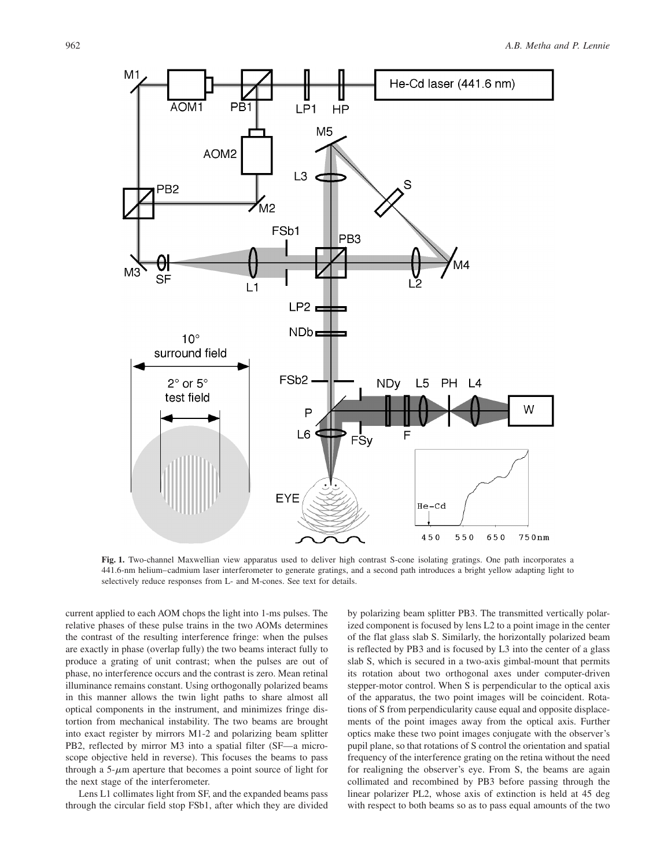He-Cd laser (441.6 nm)





**Fig. 1.** Two-channel Maxwellian view apparatus used to deliver high contrast S-cone isolating gratings. One path incorporates a 441.6-nm helium–cadmium laser interferometer to generate gratings, and a second path introduces a bright yellow adapting light to selectively reduce responses from L- and M-cones. See text for details.

current applied to each AOM chops the light into 1-ms pulses. The relative phases of these pulse trains in the two AOMs determines the contrast of the resulting interference fringe: when the pulses are exactly in phase (overlap fully) the two beams interact fully to produce a grating of unit contrast; when the pulses are out of phase, no interference occurs and the contrast is zero. Mean retinal illuminance remains constant. Using orthogonally polarized beams in this manner allows the twin light paths to share almost all optical components in the instrument, and minimizes fringe distortion from mechanical instability. The two beams are brought into exact register by mirrors M1-2 and polarizing beam splitter PB2, reflected by mirror M3 into a spatial filter (SF—a microscope objective held in reverse). This focuses the beams to pass through a  $5-\mu m$  aperture that becomes a point source of light for the next stage of the interferometer.

Lens L1 collimates light from SF, and the expanded beams pass through the circular field stop FSb1, after which they are divided

by polarizing beam splitter PB3. The transmitted vertically polarized component is focused by lens L2 to a point image in the center of the flat glass slab S. Similarly, the horizontally polarized beam is reflected by PB3 and is focused by L3 into the center of a glass slab S, which is secured in a two-axis gimbal-mount that permits its rotation about two orthogonal axes under computer-driven stepper-motor control. When S is perpendicular to the optical axis of the apparatus, the two point images will be coincident. Rotations of S from perpendicularity cause equal and opposite displacements of the point images away from the optical axis. Further optics make these two point images conjugate with the observer's pupil plane, so that rotations of S control the orientation and spatial frequency of the interference grating on the retina without the need for realigning the observer's eye. From S, the beams are again collimated and recombined by PB3 before passing through the linear polarizer PL2, whose axis of extinction is held at 45 deg with respect to both beams so as to pass equal amounts of the two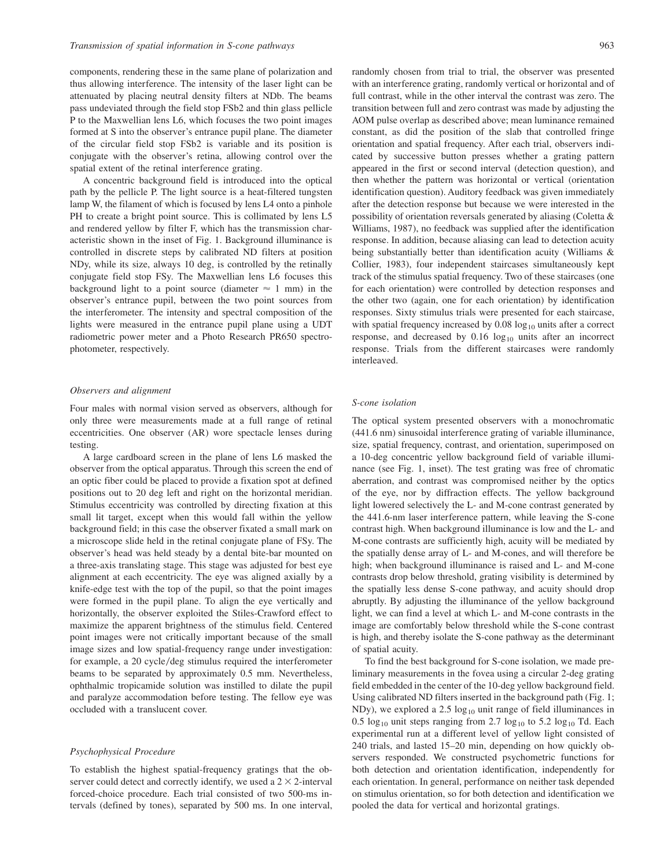components, rendering these in the same plane of polarization and thus allowing interference. The intensity of the laser light can be attenuated by placing neutral density filters at NDb. The beams pass undeviated through the field stop FSb2 and thin glass pellicle P to the Maxwellian lens L6, which focuses the two point images formed at S into the observer's entrance pupil plane. The diameter of the circular field stop FSb2 is variable and its position is conjugate with the observer's retina, allowing control over the spatial extent of the retinal interference grating.

A concentric background field is introduced into the optical path by the pellicle P. The light source is a heat-filtered tungsten lamp W, the filament of which is focused by lens L4 onto a pinhole PH to create a bright point source. This is collimated by lens L5 and rendered yellow by filter F, which has the transmission characteristic shown in the inset of Fig. 1. Background illuminance is controlled in discrete steps by calibrated ND filters at position NDy, while its size, always 10 deg, is controlled by the retinally conjugate field stop FSy. The Maxwellian lens L6 focuses this background light to a point source (diameter  $\approx$  1 mm) in the observer's entrance pupil, between the two point sources from the interferometer. The intensity and spectral composition of the lights were measured in the entrance pupil plane using a UDT radiometric power meter and a Photo Research PR650 spectrophotometer, respectively.

#### *Observers and alignment*

Four males with normal vision served as observers, although for only three were measurements made at a full range of retinal eccentricities. One observer (AR) wore spectacle lenses during testing.

A large cardboard screen in the plane of lens L6 masked the observer from the optical apparatus. Through this screen the end of an optic fiber could be placed to provide a fixation spot at defined positions out to 20 deg left and right on the horizontal meridian. Stimulus eccentricity was controlled by directing fixation at this small lit target, except when this would fall within the yellow background field; in this case the observer fixated a small mark on a microscope slide held in the retinal conjugate plane of FSy. The observer's head was held steady by a dental bite-bar mounted on a three-axis translating stage. This stage was adjusted for best eye alignment at each eccentricity. The eye was aligned axially by a knife-edge test with the top of the pupil, so that the point images were formed in the pupil plane. To align the eye vertically and horizontally, the observer exploited the Stiles-Crawford effect to maximize the apparent brightness of the stimulus field. Centered point images were not critically important because of the small image sizes and low spatial-frequency range under investigation: for example, a 20 cycle/deg stimulus required the interferometer beams to be separated by approximately 0.5 mm. Nevertheless, ophthalmic tropicamide solution was instilled to dilate the pupil and paralyze accommodation before testing. The fellow eye was occluded with a translucent cover.

## *Psychophysical Procedure*

To establish the highest spatial-frequency gratings that the observer could detect and correctly identify, we used a  $2 \times 2$ -interval forced-choice procedure. Each trial consisted of two 500-ms intervals (defined by tones), separated by 500 ms. In one interval,

randomly chosen from trial to trial, the observer was presented with an interference grating, randomly vertical or horizontal and of full contrast, while in the other interval the contrast was zero. The transition between full and zero contrast was made by adjusting the AOM pulse overlap as described above; mean luminance remained constant, as did the position of the slab that controlled fringe orientation and spatial frequency. After each trial, observers indicated by successive button presses whether a grating pattern appeared in the first or second interval (detection question), and then whether the pattern was horizontal or vertical (orientation identification question). Auditory feedback was given immediately after the detection response but because we were interested in the possibility of orientation reversals generated by aliasing (Coletta & Williams, 1987), no feedback was supplied after the identification response. In addition, because aliasing can lead to detection acuity being substantially better than identification acuity (Williams & Collier, 1983), four independent staircases simultaneously kept track of the stimulus spatial frequency. Two of these staircases (one for each orientation) were controlled by detection responses and the other two (again, one for each orientation) by identification responses. Sixty stimulus trials were presented for each staircase, with spatial frequency increased by  $0.08 \log_{10}$  units after a correct response, and decreased by  $0.16 \log_{10}$  units after an incorrect response. Trials from the different staircases were randomly interleaved.

#### *S-cone isolation*

The optical system presented observers with a monochromatic (441.6 nm) sinusoidal interference grating of variable illuminance, size, spatial frequency, contrast, and orientation, superimposed on a 10-deg concentric yellow background field of variable illuminance (see Fig. 1, inset). The test grating was free of chromatic aberration, and contrast was compromised neither by the optics of the eye, nor by diffraction effects. The yellow background light lowered selectively the L- and M-cone contrast generated by the 441.6-nm laser interference pattern, while leaving the S-cone contrast high. When background illuminance is low and the L- and M-cone contrasts are sufficiently high, acuity will be mediated by the spatially dense array of L- and M-cones, and will therefore be high; when background illuminance is raised and L- and M-cone contrasts drop below threshold, grating visibility is determined by the spatially less dense S-cone pathway, and acuity should drop abruptly. By adjusting the illuminance of the yellow background light, we can find a level at which L- and M-cone contrasts in the image are comfortably below threshold while the S-cone contrast is high, and thereby isolate the S-cone pathway as the determinant of spatial acuity.

To find the best background for S-cone isolation, we made preliminary measurements in the fovea using a circular 2-deg grating field embedded in the center of the 10-deg yellow background field. Using calibrated ND filters inserted in the background path (Fig. 1; NDy), we explored a 2.5  $log_{10}$  unit range of field illuminances in 0.5  $log_{10}$  unit steps ranging from 2.7  $log_{10}$  to 5.2  $log_{10}$  Td. Each experimental run at a different level of yellow light consisted of 240 trials, and lasted 15–20 min, depending on how quickly observers responded. We constructed psychometric functions for both detection and orientation identification, independently for each orientation. In general, performance on neither task depended on stimulus orientation, so for both detection and identification we pooled the data for vertical and horizontal gratings.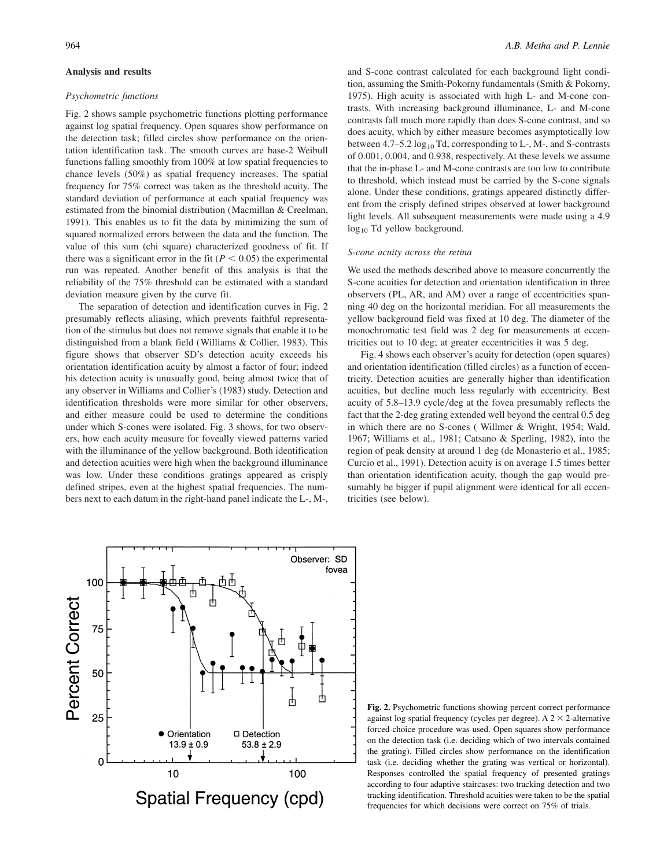#### **Analysis and results**

#### *Psychometric functions*

Fig. 2 shows sample psychometric functions plotting performance against log spatial frequency. Open squares show performance on the detection task; filled circles show performance on the orientation identification task. The smooth curves are base-2 Weibull functions falling smoothly from 100% at low spatial frequencies to chance levels (50%) as spatial frequency increases. The spatial frequency for 75% correct was taken as the threshold acuity. The standard deviation of performance at each spatial frequency was estimated from the binomial distribution (Macmillan & Creelman, 1991). This enables us to fit the data by minimizing the sum of squared normalized errors between the data and the function. The value of this sum (chi square) characterized goodness of fit. If there was a significant error in the fit  $(P < 0.05)$  the experimental run was repeated. Another benefit of this analysis is that the reliability of the 75% threshold can be estimated with a standard deviation measure given by the curve fit.

The separation of detection and identification curves in Fig. 2 presumably reflects aliasing, which prevents faithful representation of the stimulus but does not remove signals that enable it to be distinguished from a blank field (Williams & Collier, 1983). This figure shows that observer SD's detection acuity exceeds his orientation identification acuity by almost a factor of four; indeed his detection acuity is unusually good, being almost twice that of any observer in Williams and Collier's (1983) study. Detection and identification thresholds were more similar for other observers, and either measure could be used to determine the conditions under which S-cones were isolated. Fig. 3 shows, for two observers, how each acuity measure for foveally viewed patterns varied with the illuminance of the yellow background. Both identification and detection acuities were high when the background illuminance was low. Under these conditions gratings appeared as crisply defined stripes, even at the highest spatial frequencies. The numbers next to each datum in the right-hand panel indicate the L-, M-,

and S-cone contrast calculated for each background light condition, assuming the Smith-Pokorny fundamentals (Smith & Pokorny, 1975). High acuity is associated with high L- and M-cone contrasts. With increasing background illuminance, L- and M-cone contrasts fall much more rapidly than does S-cone contrast, and so does acuity, which by either measure becomes asymptotically low between  $4.7-5.2 \log_{10} Td$ , corresponding to L-, M-, and S-contrasts of 0.001, 0.004, and 0.938, respectively. At these levels we assume that the in-phase L- and M-cone contrasts are too low to contribute to threshold, which instead must be carried by the S-cone signals alone. Under these conditions, gratings appeared distinctly different from the crisply defined stripes observed at lower background light levels. All subsequent measurements were made using a 4.9 log<sub>10</sub> Td yellow background.

#### *S-cone acuity across the retina*

We used the methods described above to measure concurrently the S-cone acuities for detection and orientation identification in three observers (PL, AR, and AM) over a range of eccentricities spanning 40 deg on the horizontal meridian. For all measurements the yellow background field was fixed at 10 deg. The diameter of the monochromatic test field was 2 deg for measurements at eccentricities out to 10 deg; at greater eccentricities it was 5 deg.

Fig. 4 shows each observer's acuity for detection (open squares) and orientation identification (filled circles) as a function of eccentricity. Detection acuities are generally higher than identification acuities, but decline much less regularly with eccentricity. Best acuity of 5.8–13.9 cycle/deg at the fovea presumably reflects the fact that the 2-deg grating extended well beyond the central 0.5 deg in which there are no S-cones ( Willmer & Wright, 1954; Wald, 1967; Williams et al., 1981; Catsano & Sperling, 1982), into the region of peak density at around 1 deg (de Monasterio et al., 1985; Curcio et al., 1991). Detection acuity is on average 1.5 times better than orientation identification acuity, though the gap would presumably be bigger if pupil alignment were identical for all eccentricities (see below).



**Fig. 2.** Psychometric functions showing percent correct performance against log spatial frequency (cycles per degree). A  $2 \times 2$ -alternative forced-choice procedure was used. Open squares show performance on the detection task (i.e. deciding which of two intervals contained the grating). Filled circles show performance on the identification task (i.e. deciding whether the grating was vertical or horizontal). Responses controlled the spatial frequency of presented gratings according to four adaptive staircases: two tracking detection and two tracking identification. Threshold acuities were taken to be the spatial frequencies for which decisions were correct on 75% of trials.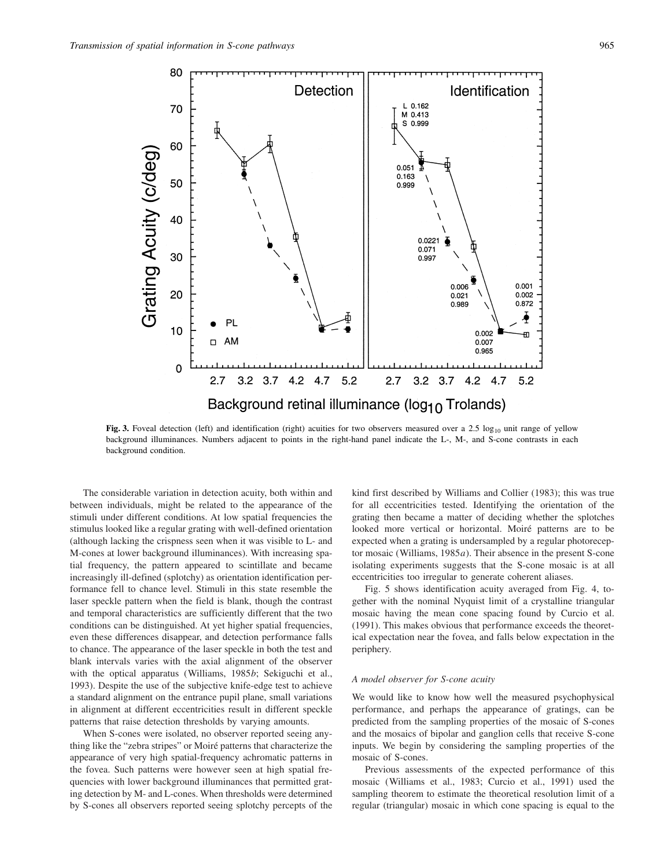

Fig. 3. Foveal detection (left) and identification (right) acuities for two observers measured over a 2.5  $log_{10}$  unit range of yellow background illuminances. Numbers adjacent to points in the right-hand panel indicate the L-, M-, and S-cone contrasts in each background condition.

The considerable variation in detection acuity, both within and between individuals, might be related to the appearance of the stimuli under different conditions. At low spatial frequencies the stimulus looked like a regular grating with well-defined orientation (although lacking the crispness seen when it was visible to L- and M-cones at lower background illuminances). With increasing spatial frequency, the pattern appeared to scintillate and became increasingly ill-defined (splotchy) as orientation identification performance fell to chance level. Stimuli in this state resemble the laser speckle pattern when the field is blank, though the contrast and temporal characteristics are sufficiently different that the two conditions can be distinguished. At yet higher spatial frequencies, even these differences disappear, and detection performance falls to chance. The appearance of the laser speckle in both the test and blank intervals varies with the axial alignment of the observer with the optical apparatus (Williams, 1985*b*; Sekiguchi et al., 1993). Despite the use of the subjective knife-edge test to achieve a standard alignment on the entrance pupil plane, small variations in alignment at different eccentricities result in different speckle patterns that raise detection thresholds by varying amounts.

When S-cones were isolated, no observer reported seeing anything like the "zebra stripes" or Moiré patterns that characterize the appearance of very high spatial-frequency achromatic patterns in the fovea. Such patterns were however seen at high spatial frequencies with lower background illuminances that permitted grating detection by M- and L-cones. When thresholds were determined by S-cones all observers reported seeing splotchy percepts of the kind first described by Williams and Collier (1983); this was true for all eccentricities tested. Identifying the orientation of the grating then became a matter of deciding whether the splotches looked more vertical or horizontal. Moiré patterns are to be expected when a grating is undersampled by a regular photoreceptor mosaic (Williams, 1985*a*). Their absence in the present S-cone isolating experiments suggests that the S-cone mosaic is at all eccentricities too irregular to generate coherent aliases.

Fig. 5 shows identification acuity averaged from Fig. 4, together with the nominal Nyquist limit of a crystalline triangular mosaic having the mean cone spacing found by Curcio et al. (1991). This makes obvious that performance exceeds the theoretical expectation near the fovea, and falls below expectation in the periphery.

#### *A model observer for S-cone acuity*

We would like to know how well the measured psychophysical performance, and perhaps the appearance of gratings, can be predicted from the sampling properties of the mosaic of S-cones and the mosaics of bipolar and ganglion cells that receive S-cone inputs. We begin by considering the sampling properties of the mosaic of S-cones.

Previous assessments of the expected performance of this mosaic (Williams et al., 1983; Curcio et al., 1991) used the sampling theorem to estimate the theoretical resolution limit of a regular (triangular) mosaic in which cone spacing is equal to the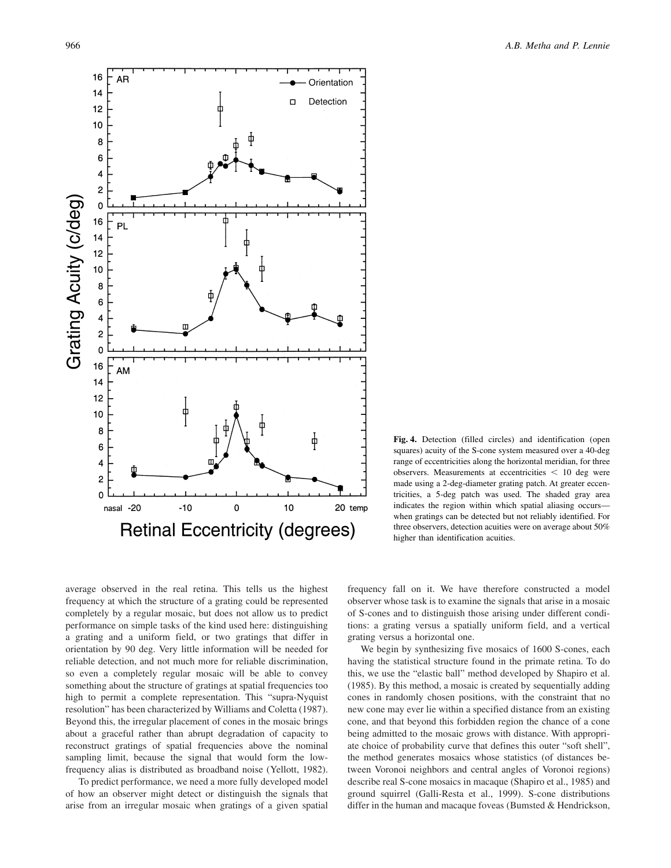

**Fig. 4.** Detection (filled circles) and identification (open squares) acuity of the S-cone system measured over a 40-deg range of eccentricities along the horizontal meridian, for three observers. Measurements at eccentricities  $\lt$  10 deg were made using a 2-deg-diameter grating patch. At greater eccentricities, a 5-deg patch was used. The shaded gray area indicates the region within which spatial aliasing occurs when gratings can be detected but not reliably identified. For three observers, detection acuities were on average about 50% higher than identification acuities.

average observed in the real retina. This tells us the highest frequency at which the structure of a grating could be represented completely by a regular mosaic, but does not allow us to predict performance on simple tasks of the kind used here: distinguishing a grating and a uniform field, or two gratings that differ in orientation by 90 deg. Very little information will be needed for reliable detection, and not much more for reliable discrimination, so even a completely regular mosaic will be able to convey something about the structure of gratings at spatial frequencies too high to permit a complete representation. This "supra-Nyquist resolution" has been characterized by Williams and Coletta (1987). Beyond this, the irregular placement of cones in the mosaic brings about a graceful rather than abrupt degradation of capacity to reconstruct gratings of spatial frequencies above the nominal sampling limit, because the signal that would form the lowfrequency alias is distributed as broadband noise (Yellott, 1982).

To predict performance, we need a more fully developed model of how an observer might detect or distinguish the signals that arise from an irregular mosaic when gratings of a given spatial

frequency fall on it. We have therefore constructed a model observer whose task is to examine the signals that arise in a mosaic of S-cones and to distinguish those arising under different conditions: a grating versus a spatially uniform field, and a vertical grating versus a horizontal one.

We begin by synthesizing five mosaics of 1600 S-cones, each having the statistical structure found in the primate retina. To do this, we use the "elastic ball" method developed by Shapiro et al. (1985). By this method, a mosaic is created by sequentially adding cones in randomly chosen positions, with the constraint that no new cone may ever lie within a specified distance from an existing cone, and that beyond this forbidden region the chance of a cone being admitted to the mosaic grows with distance. With appropriate choice of probability curve that defines this outer "soft shell", the method generates mosaics whose statistics (of distances between Voronoi neighbors and central angles of Voronoi regions) describe real S-cone mosaics in macaque (Shapiro et al., 1985) and ground squirrel (Galli-Resta et al., 1999). S-cone distributions differ in the human and macaque foveas (Bumsted & Hendrickson,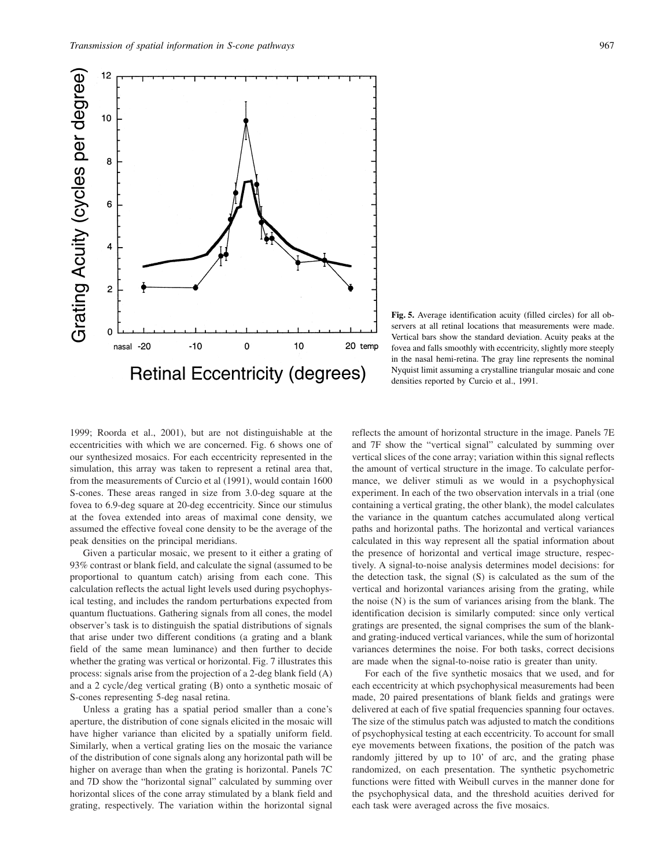![](_page_6_Figure_1.jpeg)

![](_page_6_Figure_2.jpeg)

**Fig. 5.** Average identification acuity (filled circles) for all observers at all retinal locations that measurements were made. Vertical bars show the standard deviation. Acuity peaks at the fovea and falls smoothly with eccentricity, slightly more steeply in the nasal hemi-retina. The gray line represents the nominal Nyquist limit assuming a crystalline triangular mosaic and cone densities reported by Curcio et al., 1991.

1999; Roorda et al., 2001), but are not distinguishable at the eccentricities with which we are concerned. Fig. 6 shows one of our synthesized mosaics. For each eccentricity represented in the simulation, this array was taken to represent a retinal area that, from the measurements of Curcio et al (1991), would contain 1600 S-cones. These areas ranged in size from 3.0-deg square at the fovea to 6.9-deg square at 20-deg eccentricity. Since our stimulus at the fovea extended into areas of maximal cone density, we assumed the effective foveal cone density to be the average of the peak densities on the principal meridians.

Given a particular mosaic, we present to it either a grating of 93% contrast or blank field, and calculate the signal (assumed to be proportional to quantum catch) arising from each cone. This calculation reflects the actual light levels used during psychophysical testing, and includes the random perturbations expected from quantum fluctuations. Gathering signals from all cones, the model observer's task is to distinguish the spatial distributions of signals that arise under two different conditions (a grating and a blank field of the same mean luminance) and then further to decide whether the grating was vertical or horizontal. Fig. 7 illustrates this process: signals arise from the projection of a 2-deg blank field (A) and a 2 cycle/deg vertical grating  $(B)$  onto a synthetic mosaic of S-cones representing 5-deg nasal retina.

Unless a grating has a spatial period smaller than a cone's aperture, the distribution of cone signals elicited in the mosaic will have higher variance than elicited by a spatially uniform field. Similarly, when a vertical grating lies on the mosaic the variance of the distribution of cone signals along any horizontal path will be higher on average than when the grating is horizontal. Panels 7C and 7D show the "horizontal signal" calculated by summing over horizontal slices of the cone array stimulated by a blank field and grating, respectively. The variation within the horizontal signal

reflects the amount of horizontal structure in the image. Panels 7E and 7F show the "vertical signal" calculated by summing over vertical slices of the cone array; variation within this signal reflects the amount of vertical structure in the image. To calculate performance, we deliver stimuli as we would in a psychophysical experiment. In each of the two observation intervals in a trial (one containing a vertical grating, the other blank), the model calculates the variance in the quantum catches accumulated along vertical paths and horizontal paths. The horizontal and vertical variances calculated in this way represent all the spatial information about the presence of horizontal and vertical image structure, respectively. A signal-to-noise analysis determines model decisions: for the detection task, the signal (S) is calculated as the sum of the vertical and horizontal variances arising from the grating, while the noise (N) is the sum of variances arising from the blank. The identification decision is similarly computed: since only vertical gratings are presented, the signal comprises the sum of the blankand grating-induced vertical variances, while the sum of horizontal variances determines the noise. For both tasks, correct decisions are made when the signal-to-noise ratio is greater than unity.

For each of the five synthetic mosaics that we used, and for each eccentricity at which psychophysical measurements had been made, 20 paired presentations of blank fields and gratings were delivered at each of five spatial frequencies spanning four octaves. The size of the stimulus patch was adjusted to match the conditions of psychophysical testing at each eccentricity. To account for small eye movements between fixations, the position of the patch was randomly jittered by up to 10' of arc, and the grating phase randomized, on each presentation. The synthetic psychometric functions were fitted with Weibull curves in the manner done for the psychophysical data, and the threshold acuities derived for each task were averaged across the five mosaics.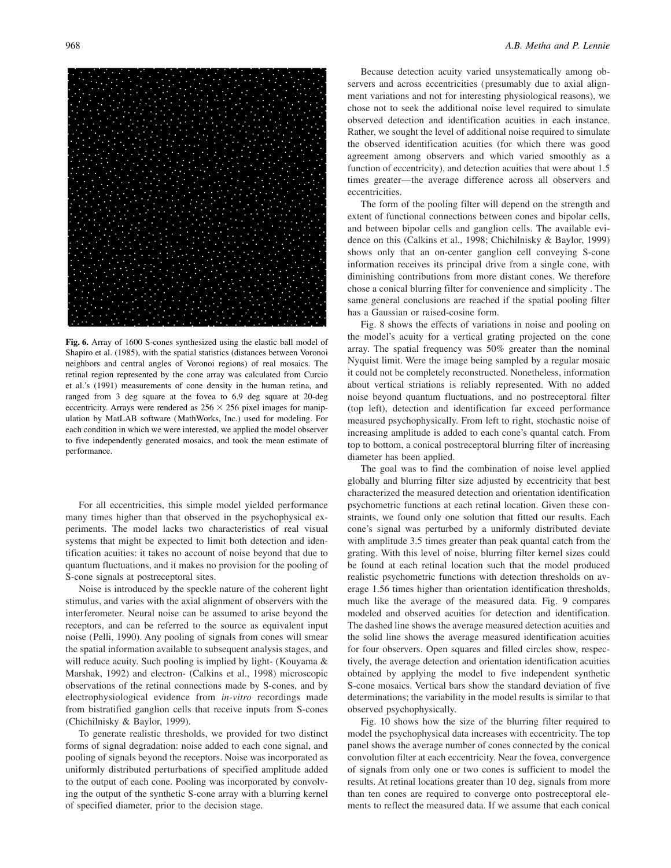![](_page_7_Picture_1.jpeg)

**Fig. 6.** Array of 1600 S-cones synthesized using the elastic ball model of Shapiro et al. (1985), with the spatial statistics (distances between Voronoi neighbors and central angles of Voronoi regions) of real mosaics. The retinal region represented by the cone array was calculated from Curcio et al.'s (1991) measurements of cone density in the human retina, and ranged from 3 deg square at the fovea to 6.9 deg square at 20-deg eccentricity. Arrays were rendered as  $256 \times 256$  pixel images for manipulation by MatLAB software (MathWorks, Inc.) used for modeling. For each condition in which we were interested, we applied the model observer to five independently generated mosaics, and took the mean estimate of performance.

For all eccentricities, this simple model yielded performance many times higher than that observed in the psychophysical experiments. The model lacks two characteristics of real visual systems that might be expected to limit both detection and identification acuities: it takes no account of noise beyond that due to quantum fluctuations, and it makes no provision for the pooling of S-cone signals at postreceptoral sites.

Noise is introduced by the speckle nature of the coherent light stimulus, and varies with the axial alignment of observers with the interferometer. Neural noise can be assumed to arise beyond the receptors, and can be referred to the source as equivalent input noise (Pelli, 1990). Any pooling of signals from cones will smear the spatial information available to subsequent analysis stages, and will reduce acuity. Such pooling is implied by light- (Kouyama & Marshak, 1992) and electron- (Calkins et al., 1998) microscopic observations of the retinal connections made by S-cones, and by electrophysiological evidence from *in-vitro* recordings made from bistratified ganglion cells that receive inputs from S-cones (Chichilnisky & Baylor, 1999).

To generate realistic thresholds, we provided for two distinct forms of signal degradation: noise added to each cone signal, and pooling of signals beyond the receptors. Noise was incorporated as uniformly distributed perturbations of specified amplitude added to the output of each cone. Pooling was incorporated by convolving the output of the synthetic S-cone array with a blurring kernel of specified diameter, prior to the decision stage.

Because detection acuity varied unsystematically among observers and across eccentricities (presumably due to axial alignment variations and not for interesting physiological reasons), we chose not to seek the additional noise level required to simulate observed detection and identification acuities in each instance. Rather, we sought the level of additional noise required to simulate the observed identification acuities (for which there was good agreement among observers and which varied smoothly as a function of eccentricity), and detection acuities that were about 1.5 times greater—the average difference across all observers and eccentricities.

The form of the pooling filter will depend on the strength and extent of functional connections between cones and bipolar cells, and between bipolar cells and ganglion cells. The available evidence on this (Calkins et al., 1998; Chichilnisky & Baylor, 1999) shows only that an on-center ganglion cell conveying S-cone information receives its principal drive from a single cone, with diminishing contributions from more distant cones. We therefore chose a conical blurring filter for convenience and simplicity . The same general conclusions are reached if the spatial pooling filter has a Gaussian or raised-cosine form.

Fig. 8 shows the effects of variations in noise and pooling on the model's acuity for a vertical grating projected on the cone array. The spatial frequency was 50% greater than the nominal Nyquist limit. Were the image being sampled by a regular mosaic it could not be completely reconstructed. Nonetheless, information about vertical striations is reliably represented. With no added noise beyond quantum fluctuations, and no postreceptoral filter (top left), detection and identification far exceed performance measured psychophysically. From left to right, stochastic noise of increasing amplitude is added to each cone's quantal catch. From top to bottom, a conical postreceptoral blurring filter of increasing diameter has been applied.

The goal was to find the combination of noise level applied globally and blurring filter size adjusted by eccentricity that best characterized the measured detection and orientation identification psychometric functions at each retinal location. Given these constraints, we found only one solution that fitted our results. Each cone's signal was perturbed by a uniformly distributed deviate with amplitude 3.5 times greater than peak quantal catch from the grating. With this level of noise, blurring filter kernel sizes could be found at each retinal location such that the model produced realistic psychometric functions with detection thresholds on average 1.56 times higher than orientation identification thresholds, much like the average of the measured data. Fig. 9 compares modeled and observed acuities for detection and identification. The dashed line shows the average measured detection acuities and the solid line shows the average measured identification acuities for four observers. Open squares and filled circles show, respectively, the average detection and orientation identification acuities obtained by applying the model to five independent synthetic S-cone mosaics. Vertical bars show the standard deviation of five determinations; the variability in the model results is similar to that observed psychophysically.

Fig. 10 shows how the size of the blurring filter required to model the psychophysical data increases with eccentricity. The top panel shows the average number of cones connected by the conical convolution filter at each eccentricity. Near the fovea, convergence of signals from only one or two cones is sufficient to model the results. At retinal locations greater than 10 deg, signals from more than ten cones are required to converge onto postreceptoral elements to reflect the measured data. If we assume that each conical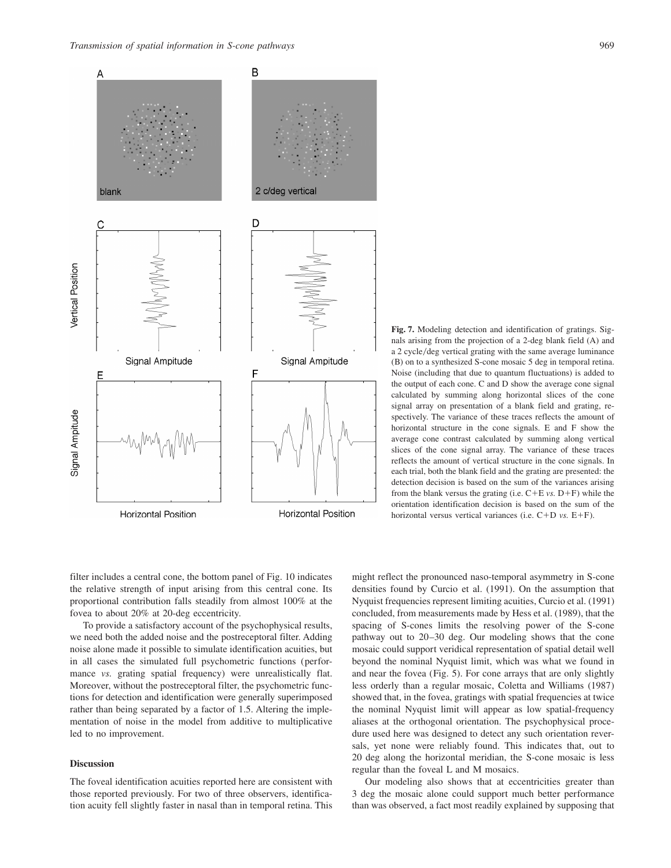![](_page_8_Figure_1.jpeg)

**Fig. 7.** Modeling detection and identification of gratings. Signals arising from the projection of a 2-deg blank field (A) and a 2 cycle/deg vertical grating with the same average luminance (B) on to a synthesized S-cone mosaic 5 deg in temporal retina. Noise (including that due to quantum fluctuations) is added to the output of each cone. C and D show the average cone signal calculated by summing along horizontal slices of the cone signal array on presentation of a blank field and grating, respectively. The variance of these traces reflects the amount of horizontal structure in the cone signals. E and F show the average cone contrast calculated by summing along vertical slices of the cone signal array. The variance of these traces reflects the amount of vertical structure in the cone signals. In each trial, both the blank field and the grating are presented: the detection decision is based on the sum of the variances arising from the blank versus the grating (i.e.  $C + E$  *vs.*  $D + F$ ) while the orientation identification decision is based on the sum of the horizontal versus vertical variances (i.e.  $C+D$  *vs.*  $E+F$ ).

filter includes a central cone, the bottom panel of Fig. 10 indicates the relative strength of input arising from this central cone. Its proportional contribution falls steadily from almost 100% at the fovea to about 20% at 20-deg eccentricity.

To provide a satisfactory account of the psychophysical results, we need both the added noise and the postreceptoral filter. Adding noise alone made it possible to simulate identification acuities, but in all cases the simulated full psychometric functions (performance *vs.* grating spatial frequency) were unrealistically flat. Moreover, without the postreceptoral filter, the psychometric functions for detection and identification were generally superimposed rather than being separated by a factor of 1.5. Altering the implementation of noise in the model from additive to multiplicative led to no improvement.

#### **Discussion**

The foveal identification acuities reported here are consistent with those reported previously. For two of three observers, identification acuity fell slightly faster in nasal than in temporal retina. This

might reflect the pronounced naso-temporal asymmetry in S-cone densities found by Curcio et al. (1991). On the assumption that Nyquist frequencies represent limiting acuities, Curcio et al. (1991) concluded, from measurements made by Hess et al. (1989), that the spacing of S-cones limits the resolving power of the S-cone pathway out to 20–30 deg. Our modeling shows that the cone mosaic could support veridical representation of spatial detail well beyond the nominal Nyquist limit, which was what we found in and near the fovea (Fig. 5). For cone arrays that are only slightly less orderly than a regular mosaic, Coletta and Williams (1987) showed that, in the fovea, gratings with spatial frequencies at twice the nominal Nyquist limit will appear as low spatial-frequency aliases at the orthogonal orientation. The psychophysical procedure used here was designed to detect any such orientation reversals, yet none were reliably found. This indicates that, out to 20 deg along the horizontal meridian, the S-cone mosaic is less regular than the foveal L and M mosaics.

Our modeling also shows that at eccentricities greater than 3 deg the mosaic alone could support much better performance than was observed, a fact most readily explained by supposing that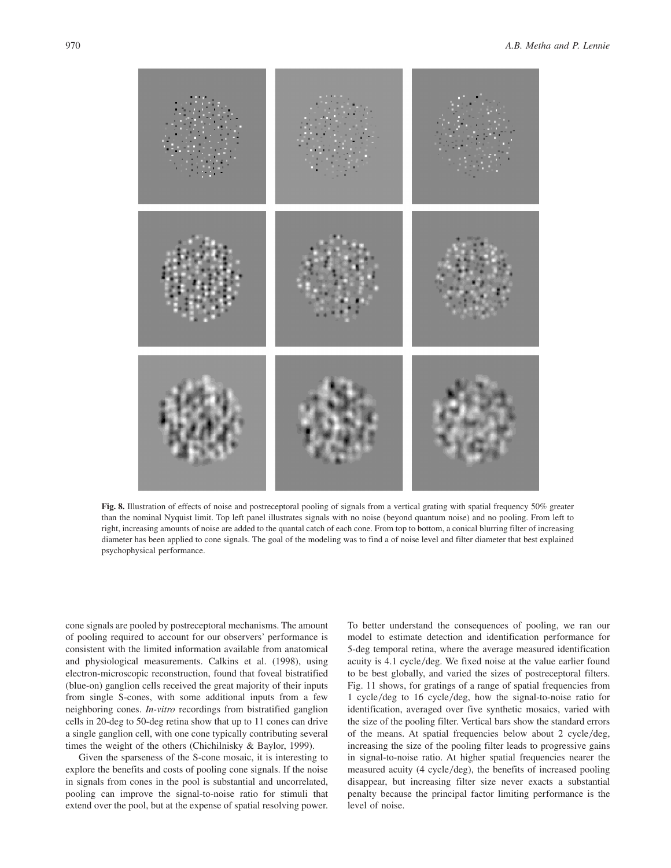![](_page_9_Figure_2.jpeg)

**Fig. 8.** Illustration of effects of noise and postreceptoral pooling of signals from a vertical grating with spatial frequency 50% greater than the nominal Nyquist limit. Top left panel illustrates signals with no noise (beyond quantum noise) and no pooling. From left to right, increasing amounts of noise are added to the quantal catch of each cone. From top to bottom, a conical blurring filter of increasing diameter has been applied to cone signals. The goal of the modeling was to find a of noise level and filter diameter that best explained psychophysical performance.

cone signals are pooled by postreceptoral mechanisms. The amount of pooling required to account for our observers' performance is consistent with the limited information available from anatomical and physiological measurements. Calkins et al. (1998), using electron-microscopic reconstruction, found that foveal bistratified (blue-on) ganglion cells received the great majority of their inputs from single S-cones, with some additional inputs from a few neighboring cones. *In-vitro* recordings from bistratified ganglion cells in 20-deg to 50-deg retina show that up to 11 cones can drive a single ganglion cell, with one cone typically contributing several times the weight of the others (Chichilnisky & Baylor, 1999).

Given the sparseness of the S-cone mosaic, it is interesting to explore the benefits and costs of pooling cone signals. If the noise in signals from cones in the pool is substantial and uncorrelated, pooling can improve the signal-to-noise ratio for stimuli that extend over the pool, but at the expense of spatial resolving power.

To better understand the consequences of pooling, we ran our model to estimate detection and identification performance for 5-deg temporal retina, where the average measured identification acuity is 4.1 cycle/deg. We fixed noise at the value earlier found to be best globally, and varied the sizes of postreceptoral filters. Fig. 11 shows, for gratings of a range of spatial frequencies from 1 cycle/deg to 16 cycle/deg, how the signal-to-noise ratio for identification, averaged over five synthetic mosaics, varied with the size of the pooling filter. Vertical bars show the standard errors of the means. At spatial frequencies below about 2 cycle/deg, increasing the size of the pooling filter leads to progressive gains in signal-to-noise ratio. At higher spatial frequencies nearer the measured acuity (4 cycle/deg), the benefits of increased pooling disappear, but increasing filter size never exacts a substantial penalty because the principal factor limiting performance is the level of noise.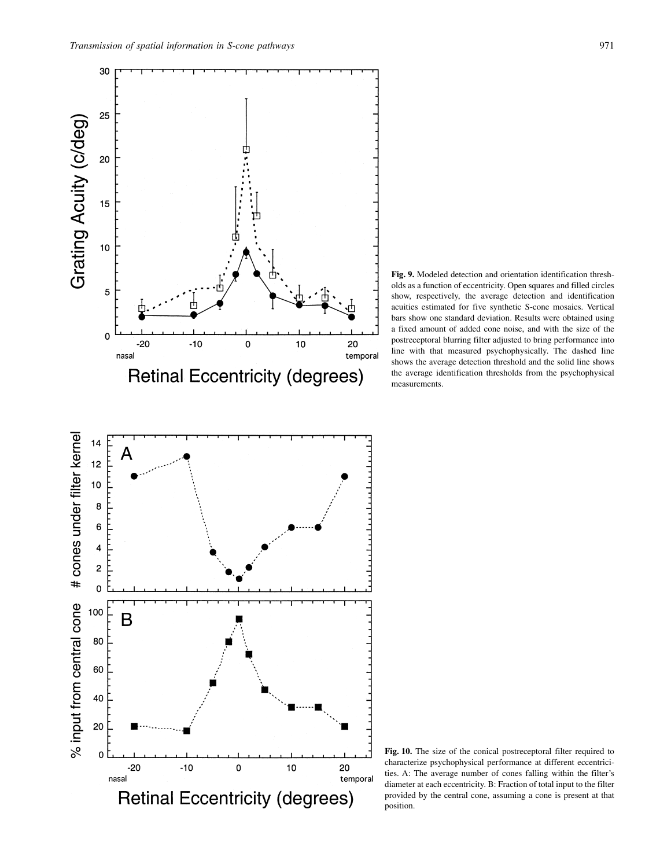![](_page_10_Figure_1.jpeg)

**Fig. 9.** Modeled detection and orientation identification thresholds as a function of eccentricity. Open squares and filled circles show, respectively, the average detection and identification acuities estimated for five synthetic S-cone mosaics. Vertical bars show one standard deviation. Results were obtained using a fixed amount of added cone noise, and with the size of the postreceptoral blurring filter adjusted to bring performance into line with that measured psychophysically. The dashed line shows the average detection threshold and the solid line shows the average identification thresholds from the psychophysical measurements.

**Fig. 10.** The size of the conical postreceptoral filter required to characterize psychophysical performance at different eccentricities. A: The average number of cones falling within the filter's diameter at each eccentricity. B: Fraction of total input to the filter provided by the central cone, assuming a cone is present at that position.